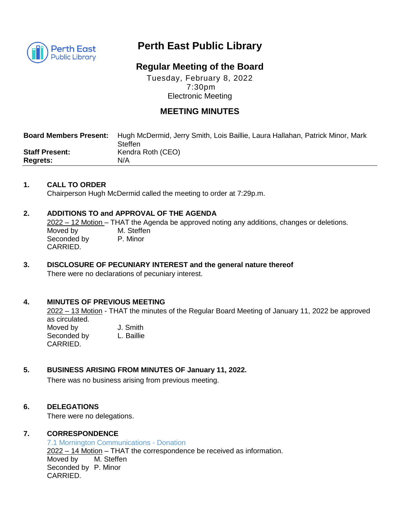

# **Perth East Public Library**

# **Regular Meeting of the Board**

Tuesday, February 8, 2022 7:30pm Electronic Meeting

# **MEETING MINUTES**

| <b>Board Members Present:</b> | Hugh McDermid, Jerry Smith, Lois Baillie, Laura Hallahan, Patrick Minor, Mark<br>Steffen |
|-------------------------------|------------------------------------------------------------------------------------------|
| <b>Staff Present:</b>         | Kendra Roth (CEO)                                                                        |
| <b>Regrets:</b>               | N/A                                                                                      |

#### **1. CALL TO ORDER**

Chairperson Hugh McDermid called the meeting to order at 7:29p.m.

#### **2. ADDITIONS TO and APPROVAL OF THE AGENDA**

2022 – 12 Motion – THAT the Agenda be approved noting any additions, changes or deletions. Moved by M. Steffen Seconded by P. Minor CARRIED.

## **3. DISCLOSURE OF PECUNIARY INTEREST and the general nature thereof** There were no declarations of pecuniary interest.

#### **4. MINUTES OF PREVIOUS MEETING**

2022 – 13 Motion - THAT the minutes of the Regular Board Meeting of January 11, 2022 be approved as circulated. Moved by **J. Smith** 

| Seconded by | L. Baillie |
|-------------|------------|
| CARRIED.    |            |

#### **5. BUSINESS ARISING FROM MINUTES OF January 11, 2022.**

There was no business arising from previous meeting.

#### **6. DELEGATIONS**

There were no delegations.

#### **7. CORRESPONDENCE**

7.1 Mornington Communications - Donation 2022 – 14 Motion – THAT the correspondence be received as information. Moved by M. Steffen Seconded by P. Minor CARRIED.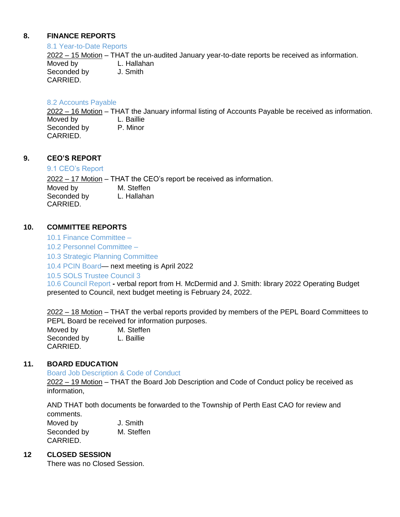#### **8. FINANCE REPORTS**

#### 8.1 Year-to-Date Reports

2022 – 15 Motion – THAT the un-audited January year-to-date reports be received as information. Moved by L. Hallahan Seconded by J. Smith CARRIED.

#### 8.2 Accounts Payable

2022 – 16 Motion – THAT the January informal listing of Accounts Payable be received as information. Moved by **L. Baillie** Seconded by P. Minor CARRIED.

## **9. CEO'S REPORT**

CARRIED.

#### 9.1 CEO's Report

2022 – 17 Motion – THAT the CEO's report be received as information. Moved by M. Steffen Seconded by L. Hallahan

#### **10. COMMITTEE REPORTS**

10.1 Finance Committee –

10.2 Personnel Committee –

10.3 Strategic Planning Committee

10.4 PCIN Board— next meeting is April 2022

10.5 SOLS Trustee Council 3

10.6 Council Report **-** verbal report from H. McDermid and J. Smith: library 2022 Operating Budget presented to Council, next budget meeting is February 24, 2022.

2022 – 18 Motion – THAT the verbal reports provided by members of the PEPL Board Committees to PEPL Board be received for information purposes.

Moved by M. Steffen Seconded by L. Baillie CARRIED.

#### **11. BOARD EDUCATION**

Board Job Description & Code of Conduct

2022 – 19 Motion – THAT the Board Job Description and Code of Conduct policy be received as information,

AND THAT both documents be forwarded to the Township of Perth East CAO for review and comments.

Moved by **J. Smith** Seconded by M. Steffen CARRIED.

#### **12 CLOSED SESSION**

There was no Closed Session.